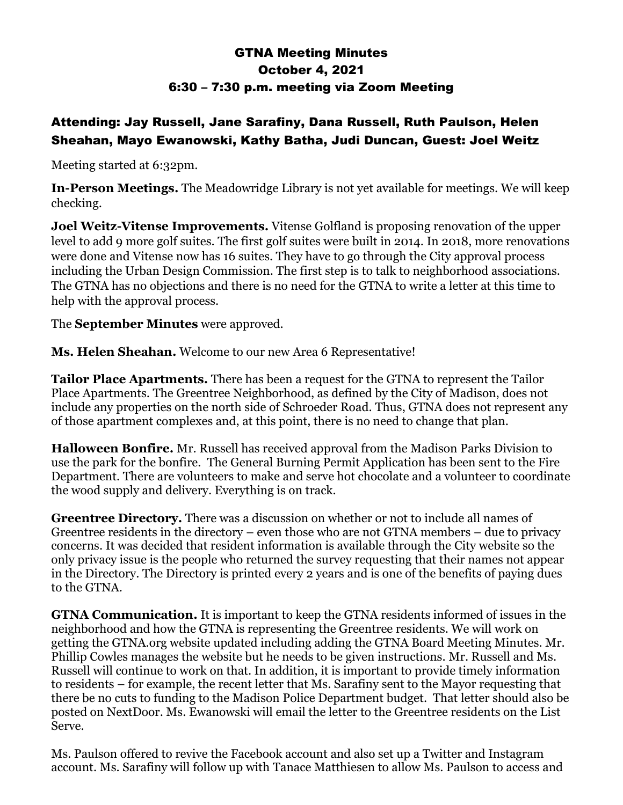## GTNA Meeting Minutes October 4, 2021 6:30 – 7:30 p.m. meeting via Zoom Meeting

## Attending: Jay Russell, Jane Sarafiny, Dana Russell, Ruth Paulson, Helen Sheahan, Mayo Ewanowski, Kathy Batha, Judi Duncan, Guest: Joel Weitz

Meeting started at 6:32pm.

**In-Person Meetings.** The Meadowridge Library is not yet available for meetings. We will keep checking.

**Joel Weitz-Vitense Improvements.** Vitense Golfland is proposing renovation of the upper level to add 9 more golf suites. The first golf suites were built in 2014. In 2018, more renovations were done and Vitense now has 16 suites. They have to go through the City approval process including the Urban Design Commission. The first step is to talk to neighborhood associations. The GTNA has no objections and there is no need for the GTNA to write a letter at this time to help with the approval process.

The **September Minutes** were approved.

**Ms. Helen Sheahan.** Welcome to our new Area 6 Representative!

**Tailor Place Apartments.** There has been a request for the GTNA to represent the Tailor Place Apartments. The Greentree Neighborhood, as defined by the City of Madison, does not include any properties on the north side of Schroeder Road. Thus, GTNA does not represent any of those apartment complexes and, at this point, there is no need to change that plan.

**Halloween Bonfire.** Mr. Russell has received approval from the Madison Parks Division to use the park for the bonfire. The General Burning Permit Application has been sent to the Fire Department. There are volunteers to make and serve hot chocolate and a volunteer to coordinate the wood supply and delivery. Everything is on track.

**Greentree Directory.** There was a discussion on whether or not to include all names of Greentree residents in the directory – even those who are not GTNA members – due to privacy concerns. It was decided that resident information is available through the City website so the only privacy issue is the people who returned the survey requesting that their names not appear in the Directory. The Directory is printed every 2 years and is one of the benefits of paying dues to the GTNA.

**GTNA Communication.** It is important to keep the GTNA residents informed of issues in the neighborhood and how the GTNA is representing the Greentree residents. We will work on getting the GTNA.org website updated including adding the GTNA Board Meeting Minutes. Mr. Phillip Cowles manages the website but he needs to be given instructions. Mr. Russell and Ms. Russell will continue to work on that. In addition, it is important to provide timely information to residents – for example, the recent letter that Ms. Sarafiny sent to the Mayor requesting that there be no cuts to funding to the Madison Police Department budget. That letter should also be posted on NextDoor. Ms. Ewanowski will email the letter to the Greentree residents on the List Serve.

Ms. Paulson offered to revive the Facebook account and also set up a Twitter and Instagram account. Ms. Sarafiny will follow up with Tanace Matthiesen to allow Ms. Paulson to access and